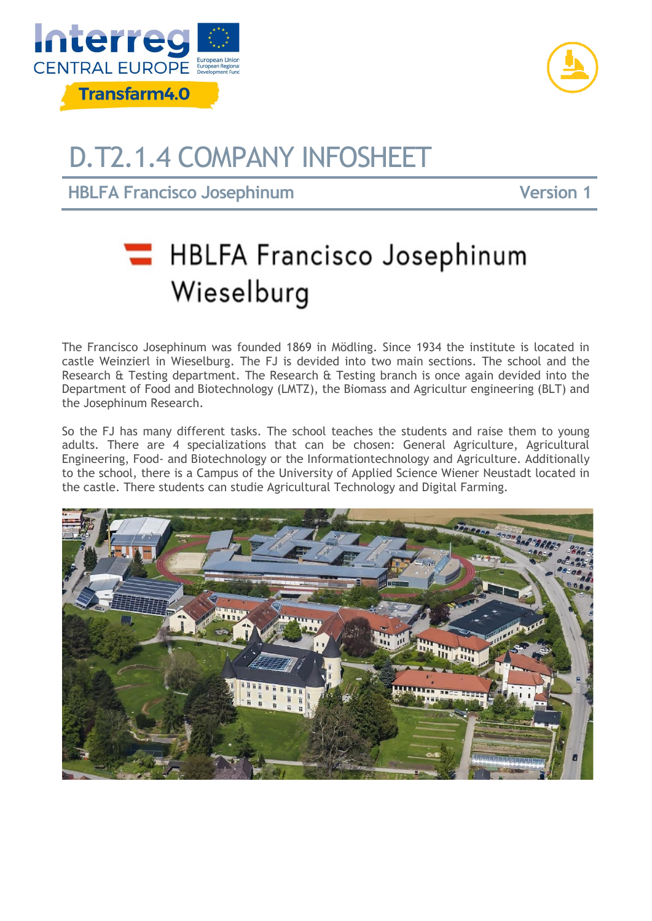



## D.T2.1.4 COMPANY INFOSHEET

**HBLFA Francisco Josephinum 11 and 12 and 12 and 12 and 12 and 12 and 12 and 12 and 12 and 12 and 12 and 12 and 12 and 12 and 12 and 12 and 12 and 12 and 12 and 12 and 12 and 12 and 12 and 12 and 12 and 12 and 12 and 12 an** 

## **HBLFA Francisco Josephinum** Wieselburg

The Francisco Josephinum was founded 1869 in Mödling. Since 1934 the institute is located in castle Weinzierl in Wieselburg. The FJ is devided into two main sections. The school and the Research & Testing department. The Research & Testing branch is once again devided into the Department of Food and Biotechnology (LMTZ), the Biomass and Agricultur engineering (BLT) and the Josephinum Research.

So the FJ has many different tasks. The school teaches the students and raise them to young adults. There are 4 specializations that can be chosen: General Agriculture, Agricultural Engineering, Food- and Biotechnology or the Informationtechnology and Agriculture. Additionally to the school, there is a Campus of the University of Applied Science Wiener Neustadt located in the castle. There students can studie Agricultural Technology and Digital Farming.